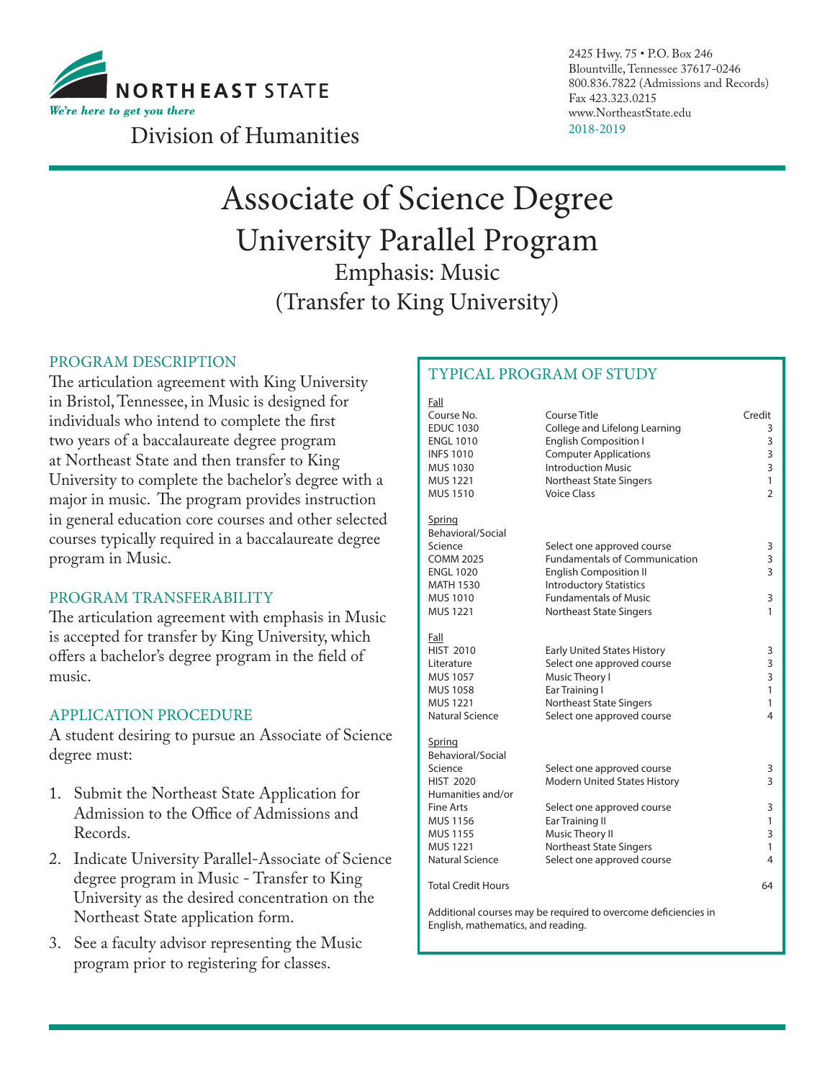

2425 Hwy. 75 • P.O. Box 246 Blountville, Tennessee 37617-0246 800.836.7822 (Admissions and Records) Fax 423.323.0215 www.NortheastState.edu

## 2018-2019 Division of Humanities

# Associate of Science Degree University Parallel Program Emphasis: Music (Transfer to King University)

#### PROGRAM DESCRIPTION

The articulation agreement with King University in Bristol, Tennessee, in Music is designed for individuals who intend to complete the first two years of a baccalaureate degree program at Northeast State and then transfer to King University to complete the bachelor's degree with a major in music. The program provides instruction in general education core courses and other selected courses typically required in a baccalaureate degree program in Music.

#### PROGRAM TRANSFERABILITY

The articulation agreement with emphasis in Music is accepted for transfer by King University, which offers a bachelor's degree program in the field of music.

#### APPLICATION PROCEDURE

A student desiring to pursue an Associate of Science degree must:

- 1. Submit the Northeast State Application for Admission to the Office of Admissions and Records.
- 2. Indicate University Parallel-Associate of Science degree program in Music - Transfer to King University as the desired concentration on the Northeast State application form.
- 3. See a faculty advisor representing the Music program prior to registering for classes.

### TYPICAL PROGRAM OF STUDY

| Fall                               |                                                                |                |
|------------------------------------|----------------------------------------------------------------|----------------|
| Course No.                         | Course Title                                                   | Credit         |
| <b>EDUC 1030</b>                   | College and Lifelong Learning                                  | 3              |
| <b>ENGL 1010</b>                   | <b>English Composition I</b>                                   | 3              |
| <b>INFS 1010</b>                   | <b>Computer Applications</b>                                   | 3              |
| MUS 1030                           | <b>Introduction Music</b>                                      | 3              |
| MUS 1221                           | Northeast State Singers                                        | 1              |
| MUS 1510                           | <b>Voice Class</b>                                             | $\overline{2}$ |
| Spring                             |                                                                |                |
| Behavioral/Social                  |                                                                |                |
| Science                            | Select one approved course                                     | 3              |
| <b>COMM 2025</b>                   | Fundamentals of Communication                                  | 3              |
| <b>ENGL 1020</b>                   | <b>English Composition II</b>                                  | 3              |
| MATH 1530                          | <b>Introductory Statistics</b>                                 |                |
| MUS 1010                           | <b>Fundamentals of Music</b>                                   | 3              |
| MUS 1221                           | <b>Northeast State Singers</b>                                 | 1              |
| Fall                               |                                                                |                |
| <b>HIST 2010</b>                   | <b>Early United States History</b>                             | 3              |
| Literature                         | Select one approved course                                     | 3              |
| MUS 1057                           | Music Theory I                                                 | 3              |
| MUS 1058                           | Ear Training I                                                 | $\mathbf{1}$   |
| MUS 1221                           | <b>Northeast State Singers</b>                                 | 1              |
| Natural Science                    | Select one approved course                                     | 4              |
| Spring                             |                                                                |                |
| Behavioral/Social                  |                                                                |                |
| Science                            | Select one approved course                                     | 3              |
| <b>HIST 2020</b>                   | Modern United States History                                   | 3              |
| Humanities and/or                  |                                                                |                |
| Fine Arts                          | Select one approved course                                     | 3              |
| MUS 1156                           | Ear Training II                                                | 1              |
| MUS 1155                           | Music Theory II                                                | 3              |
| <b>MUS 1221</b>                    | Northeast State Singers                                        | $\mathbf{1}$   |
| Natural Science                    | Select one approved course                                     | 4              |
| <b>Total Credit Hours</b>          |                                                                | 64             |
|                                    | Additional courses may be required to overcome deficiencies in |                |
| English, mathematics, and reading. |                                                                |                |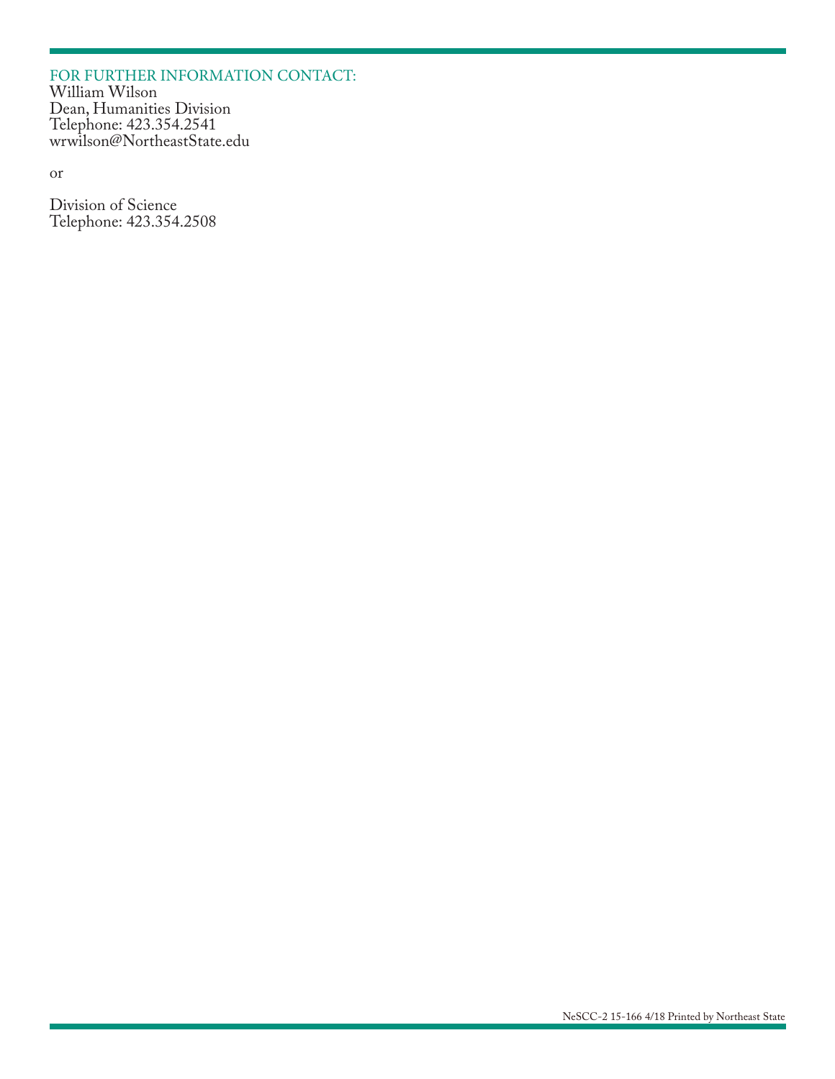#### FOR FURTHER INFORMATION CONTACT: William Wilson Dean, Humanities Division Telephone: 423.354.2541 wrwilson@NortheastState.edu

or

Division of Science Telephone: 423.354.2508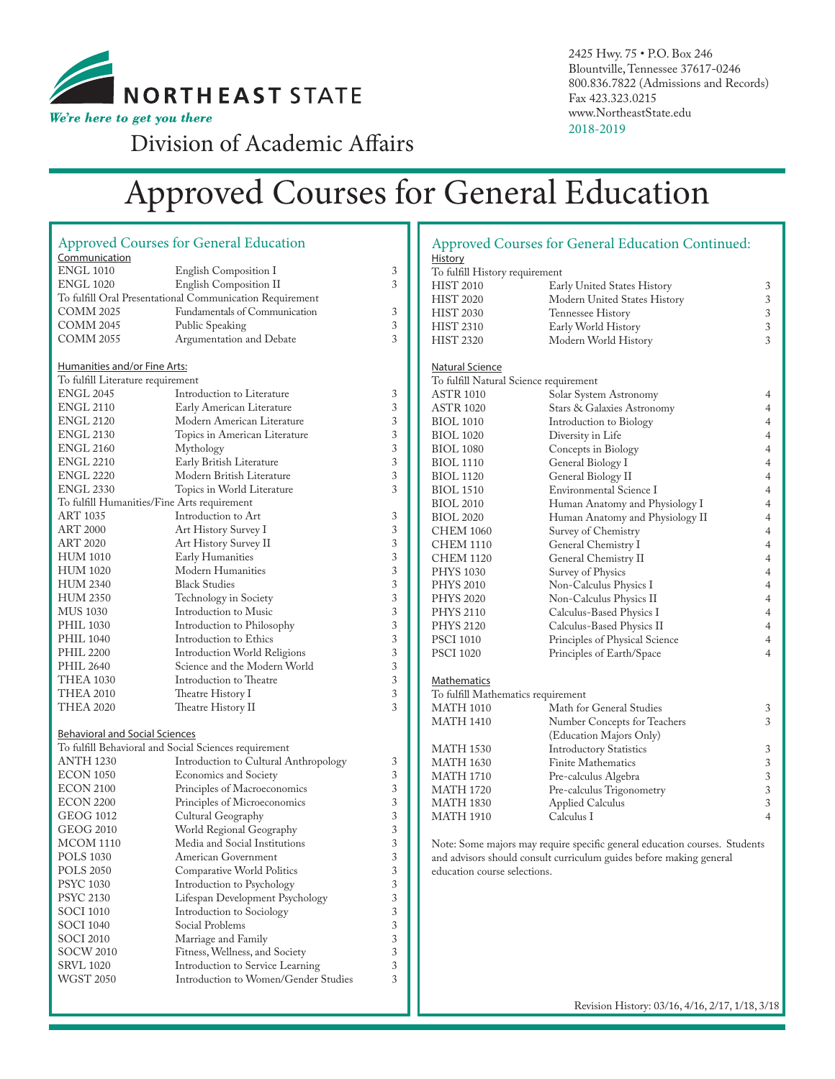

2425 Hwy. 75 • P.O. Box 246 Blountville, Tennessee 37617-0246 800.836.7822 (Admissions and Records) Fax 423.323.0215 www.NortheastState.edu 2018-2019

Division of Academic Affairs

# Approved Courses for General Education

|                                             | <b>Approved Courses for General Education</b>                 |                |  |
|---------------------------------------------|---------------------------------------------------------------|----------------|--|
| Communication                               |                                                               |                |  |
| <b>ENGL 1010</b>                            | <b>English Composition I</b>                                  | 3              |  |
| <b>ENGL 1020</b>                            | English Composition II                                        | 3              |  |
|                                             | To fulfill Oral Presentational Communication Requirement      |                |  |
| COMM 2025                                   | Fundamentals of Communication                                 | 3              |  |
| COMM 2045                                   | Public Speaking                                               | 3              |  |
| COMM 2055                                   | Argumentation and Debate                                      | 3              |  |
|                                             |                                                               |                |  |
| <b>Humanities and/or Fine Arts:</b>         |                                                               |                |  |
| To fulfill Literature requirement           |                                                               |                |  |
| <b>ENGL 2045</b>                            | Introduction to Literature                                    | 3              |  |
| <b>ENGL 2110</b>                            | Early American Literature                                     |                |  |
| ENGL 2120                                   | Modern American Literature                                    | 3<br>3         |  |
| <b>ENGL 2130</b>                            | Topics in American Literature                                 | 3              |  |
| ENGL 2160                                   | Mythology                                                     |                |  |
| <b>ENGL 2210</b>                            | Early British Literature                                      |                |  |
| <b>ENGL 2220</b>                            | Modern British Literature                                     |                |  |
| <b>ENGL 2330</b>                            | Topics in World Literature                                    | 3<br>3         |  |
| To fulfill Humanities/Fine Arts requirement |                                                               |                |  |
| <b>ART 1035</b>                             | Introduction to Art                                           | 3              |  |
| ART 2000                                    | Art History Survey I                                          | 3              |  |
| ART 2020                                    | Art History Survey II                                         | 3              |  |
| <b>HUM 1010</b>                             | Early Humanities                                              | 3              |  |
| <b>HUM 1020</b>                             | Modern Humanities                                             | 3              |  |
| <b>HUM 2340</b>                             | <b>Black Studies</b>                                          | 3              |  |
| <b>HUM 2350</b>                             |                                                               | 3              |  |
| MUS 1030                                    | Technology in Society<br>Introduction to Music                | 3              |  |
| <b>PHIL 1030</b>                            | Introduction to Philosophy                                    | 3              |  |
| <b>PHIL 1040</b>                            |                                                               | 3              |  |
| <b>PHIL 2200</b>                            | Introduction to Ethics<br><b>Introduction World Religions</b> |                |  |
| <b>PHIL 2640</b>                            | Science and the Modern World                                  | 3<br>3         |  |
| THEA 1030                                   | Introduction to Theatre                                       | 3              |  |
| <b>THEA 2010</b>                            |                                                               | 3              |  |
| <b>THEA 2020</b>                            | Theatre History I                                             | 3              |  |
|                                             | Theatre History II                                            |                |  |
|                                             |                                                               |                |  |
| <b>Behavioral and Social Sciences</b>       |                                                               |                |  |
|                                             | To fulfill Behavioral and Social Sciences requirement         |                |  |
| <b>ANTH 1230</b>                            | Introduction to Cultural Anthropology                         | 3              |  |
| ECON 1050                                   | Economics and Society                                         | 3              |  |
| ECON 2100                                   | Principles of Macroeconomics                                  | 3              |  |
| <b>ECON 2200</b>                            | Principles of Microeconomics                                  | 3              |  |
| GEOG 1012                                   | Cultural Geography                                            | 3              |  |
| GEOG 2010                                   | World Regional Geography                                      | 3              |  |
| MCOM 1110                                   | Media and Social Institutions                                 | 3              |  |
| <b>POLS 1030</b>                            | American Government                                           | 3              |  |
| <b>POLS 2050</b>                            | Comparative World Politics                                    | 3              |  |
| <b>PSYC 1030</b>                            | Introduction to Psychology                                    | 3              |  |
| <b>PSYC 2130</b>                            | Lifespan Development Psychology                               | 3              |  |
| <b>SOCI 1010</b>                            | Introduction to Sociology                                     | 3              |  |
| <b>SOCI 1040</b>                            | Social Problems                                               | $\mathfrak{Z}$ |  |
| SOCI 2010                                   | Marriage and Family                                           | 3              |  |
| <b>SOCW 2010</b>                            | Fitness, Wellness, and Society                                | 3              |  |
| <b>SRVL 1020</b>                            | Introduction to Service Learning                              | 3              |  |
| <b>WGST 2050</b>                            | Introduction to Women/Gender Studies                          | 3              |  |

|                                        | <b>Approved Courses for General Education Continued:</b>                   |                                  |  |  |
|----------------------------------------|----------------------------------------------------------------------------|----------------------------------|--|--|
| <u>History</u>                         |                                                                            |                                  |  |  |
| To fulfill History requirement         |                                                                            |                                  |  |  |
| <b>HIST 2010</b>                       | Early United States History                                                | 3                                |  |  |
| <b>HIST 2020</b>                       | Modern United States History                                               |                                  |  |  |
| <b>HIST 2030</b>                       | Tennessee History                                                          |                                  |  |  |
| <b>HIST 2310</b>                       | Early World History                                                        |                                  |  |  |
| <b>HIST 2320</b>                       | Modern World History                                                       | 3<br>3                           |  |  |
|                                        |                                                                            |                                  |  |  |
| Natural Science                        |                                                                            |                                  |  |  |
| To fulfill Natural Science requirement |                                                                            |                                  |  |  |
| ASTR 1010                              | Solar System Astronomy                                                     | 4                                |  |  |
| <b>ASTR 1020</b>                       | Stars & Galaxies Astronomy                                                 |                                  |  |  |
| <b>BIOL 1010</b>                       |                                                                            |                                  |  |  |
| <b>BIOL 1020</b>                       | Introduction to Biology<br>Diversity in Life                               |                                  |  |  |
| <b>BIOL 1080</b>                       | Concepts in Biology                                                        | $\overline{4}$<br>$\overline{4}$ |  |  |
| BIOL 1110                              | General Biology I                                                          | $\overline{4}$                   |  |  |
| <b>BIOL 1120</b>                       | General Biology II                                                         | $\overline{4}$                   |  |  |
| <b>BIOL 1510</b>                       | Environmental Science I                                                    | $\overline{4}$                   |  |  |
| <b>BIOL 2010</b>                       |                                                                            | $\overline{4}$                   |  |  |
| <b>BIOL 2020</b>                       | Human Anatomy and Physiology I                                             | $\overline{4}$                   |  |  |
| CHEM 1060                              | Human Anatomy and Physiology II                                            | $\overline{4}$                   |  |  |
|                                        | Survey of Chemistry                                                        | $\overline{4}$                   |  |  |
| CHEM 1110                              | General Chemistry I                                                        |                                  |  |  |
| <b>CHEM 1120</b>                       | General Chemistry II                                                       | $\overline{4}$                   |  |  |
| <b>PHYS 1030</b>                       | Survey of Physics                                                          | $\overline{4}$                   |  |  |
| <b>PHYS 2010</b>                       | Non-Calculus Physics I                                                     | $\overline{4}$                   |  |  |
| <b>PHYS 2020</b>                       | Non-Calculus Physics II                                                    | $\overline{4}$                   |  |  |
| <b>PHYS 2110</b>                       | Calculus-Based Physics I                                                   | 4                                |  |  |
| <b>PHYS 2120</b>                       | Calculus-Based Physics II                                                  | $\overline{4}$                   |  |  |
| <b>PSCI 1010</b>                       | Principles of Physical Science                                             | $\overline{4}$                   |  |  |
| <b>PSCI 1020</b>                       | Principles of Earth/Space                                                  | $\overline{4}$                   |  |  |
|                                        |                                                                            |                                  |  |  |
| <b>Mathematics</b>                     |                                                                            |                                  |  |  |
| To fulfill Mathematics requirement     |                                                                            |                                  |  |  |
| <b>MATH 1010</b>                       | Math for General Studies                                                   | 3                                |  |  |
| <b>MATH 1410</b>                       | Number Concepts for Teachers                                               | 3                                |  |  |
|                                        | (Education Majors Only)                                                    |                                  |  |  |
| <b>MATH 1530</b>                       | <b>Introductory Statistics</b>                                             | 3                                |  |  |
| <b>MATH 1630</b>                       | <b>Finite Mathematics</b>                                                  | 3                                |  |  |
| <b>MATH 1710</b>                       | Pre-calculus Algebra                                                       | 3                                |  |  |
| <b>MATH 1720</b>                       | Pre-calculus Trigonometry                                                  | 3                                |  |  |
| <b>MATH 1830</b>                       | <b>Applied Calculus</b>                                                    | 3                                |  |  |
| <b>MATH 1910</b>                       | Calculus I                                                                 | $\overline{4}$                   |  |  |
|                                        | Note: Some majors may require specific general education courses. Students |                                  |  |  |

s may require specific gen and advisors should consult curriculum guides before making general education course selections.